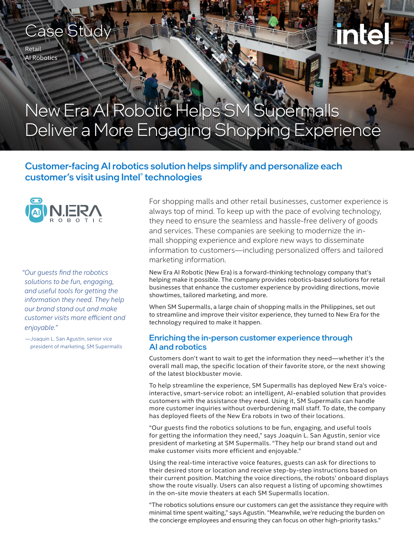# Case Stud

Retail AI Robotics

# New Era AI Robotic Helps SM Supermalls Deliver a More Engaging Shopping Experience

### Customer-facing AI robotics solution helps simplify and personalize each customer's visit using Intel® technologies



*"Our guests find the robotics solutions to be fun, engaging, and useful tools for getting the information they need. They help our brand stand out and make customer visits more efficient and enjoyable."* 

—Joaquin L. San Agustin, senior vice president of marketing, SM Supermalls For shopping malls and other retail businesses, customer experience is always top of mind. To keep up with the pace of evolving technology, they need to ensure the seamless and hassle-free delivery of goods and services. These companies are seeking to modernize the inmall shopping experience and explore new ways to disseminate information to customers—including personalized offers and tailored marketing information.

New Era AI Robotic (New Era) is a forward-thinking technology company that's helping make it possible. The company provides robotics-based solutions for retail businesses that enhance the customer experience by providing directions, movie showtimes, tailored marketing, and more.

When SM Supermalls, a large chain of shopping malls in the Philippines, set out to streamline and improve their visitor experience, they turned to New Era for the technology required to make it happen.

#### Enriching the in-person customer experience through AI and robotics

Customers don't want to wait to get the information they need—whether it's the overall mall map, the specific location of their favorite store, or the next showing of the latest blockbuster movie.

To help streamline the experience, SM Supermalls has deployed New Era's voiceinteractive, smart-service robot: an intelligent, AI-enabled solution that provides customers with the assistance they need. Using it, SM Supermalls can handle more customer inquiries without overburdening mall staff. To date, the company has deployed fleets of the New Era robots in two of their locations.

"Our guests find the robotics solutions to be fun, engaging, and useful tools for getting the information they need," says Joaquin L. San Agustin, senior vice president of marketing at SM Supermalls. "They help our brand stand out and make customer visits more efficient and enjoyable."

Using the real-time interactive voice features, guests can ask for directions to their desired store or location and receive step-by-step instructions based on their current position. Matching the voice directions, the robots' onboard displays show the route visually. Users can also request a listing of upcoming showtimes in the on-site movie theaters at each SM Supermalls location.

"The robotics solutions ensure our customers can get the assistance they require with minimal time spent waiting," says Agustin. "Meanwhile, we're reducing the burden on the concierge employees and ensuring they can focus on other high-priority tasks."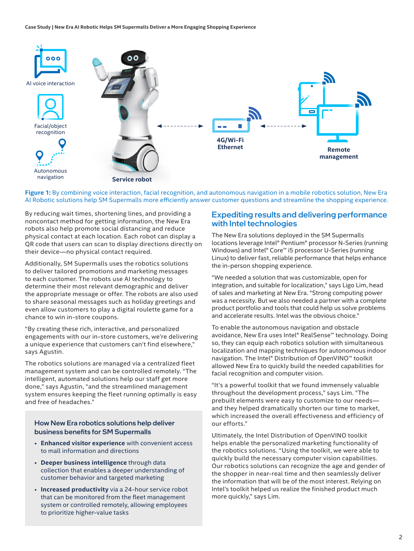

**Figure 1:** By combining voice interaction, facial recognition, and autonomous navigation in a mobile robotics solution, New Era AI Robotic solutions help SM Supermalls more efficiently answer customer questions and streamline the shopping experience.

By reducing wait times, shortening lines, and providing a noncontact method for getting information, the New Era robots also help promote social distancing and reduce physical contact at each location. Each robot can display a QR code that users can scan to display directions directly on their device—no physical contact required.

Additionally, SM Supermalls uses the robotics solutions to deliver tailored promotions and marketing messages to each customer. The robots use AI technology to determine their most relevant demographic and deliver the appropriate message or offer. The robots are also used to share seasonal messages such as holiday greetings and even allow customers to play a digital roulette game for a chance to win in-store coupons.

"By creating these rich, interactive, and personalized engagements with our in-store customers, we're delivering a unique experience that customers can't find elsewhere," says Agustin.

The robotics solutions are managed via a centralized fleet management system and can be controlled remotely. "The intelligent, automated solutions help our staff get more done," says Agustin, "and the streamlined management system ensures keeping the fleet running optimally is easy and free of headaches."

How New Era robotics solutions help deliver business benefits for SM Supermalls

- **Enhanced visitor experience** with convenient access to mall information and directions
- **Deeper business intelligence** through data collection that enables a deeper understanding of customer behavior and targeted marketing
- **Increased productivity** via a 24-hour service robot that can be monitored from the fleet management system or controlled remotely, allowing employees to prioritize higher-value tasks

#### Expediting results and delivering performance with Intel technologies

The New Era solutions deployed in the SM Supermalls locations leverage Intel® Pentium® processor N-Series (running Windows) and Intel® Core™ i5 processor U-Series (running Linux) to deliver fast, reliable performance that helps enhance the in-person shopping experience.

"We needed a solution that was customizable, open for integration, and suitable for localization," says Ligo Lim, head of sales and marketing at New Era. "Strong computing power was a necessity. But we also needed a partner with a complete product portfolio and tools that could help us solve problems and accelerate results. Intel was the obvious choice."

To enable the autonomous navigation and obstacle avoidance, New Era uses Intel® RealSense™ technology. Doing so, they can equip each robotics solution with simultaneous localization and mapping techniques for autonomous indoor navigation. The Intel® Distribution of OpenVINO™ toolkit allowed New Era to quickly build the needed capabilities for facial recognition and computer vision.

"It's a powerful toolkit that we found immensely valuable throughout the development process," says Lim. "The prebuilt elements were easy to customize to our needs and they helped dramatically shorten our time to market, which increased the overall effectiveness and efficiency of our efforts."

Ultimately, the Intel Distribution of OpenVINO toolkit helps enable the personalized marketing functionality of the robotics solutions. "Using the toolkit, we were able to quickly build the necessary computer vision capabilities. Our robotics solutions can recognize the age and gender of the shopper in near-real time and then seamlessly deliver the information that will be of the most interest. Relying on Intel's toolkit helped us realize the finished product much more quickly," says Lim.